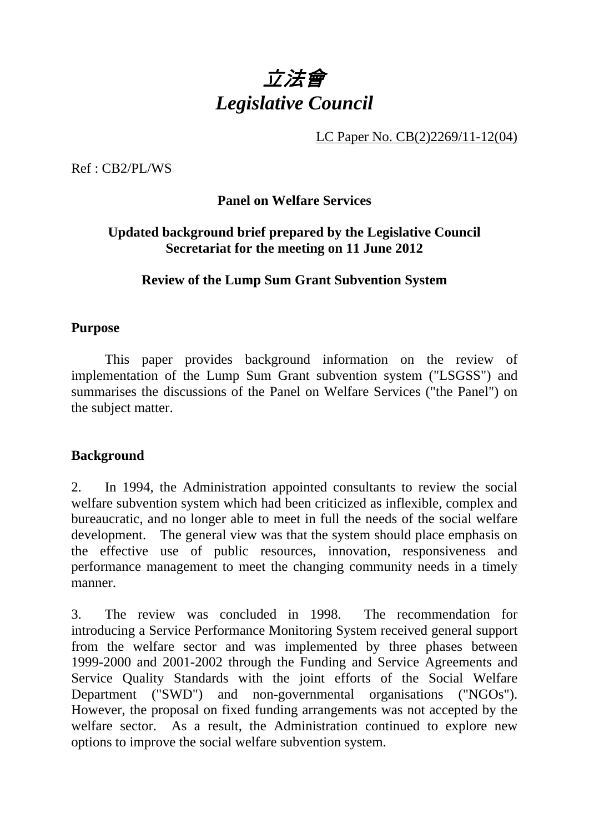# 立法會 *Legislative Council*

LC Paper No. CB(2)2269/11-12(04)

Ref : CB2/PL/WS

#### **Panel on Welfare Services**

#### **Updated background brief prepared by the Legislative Council Secretariat for the meeting on 11 June 2012**

#### **Review of the Lump Sum Grant Subvention System**

#### **Purpose**

 This paper provides background information on the review of implementation of the Lump Sum Grant subvention system ("LSGSS") and summarises the discussions of the Panel on Welfare Services ("the Panel") on the subject matter.

#### **Background**

2. In 1994, the Administration appointed consultants to review the social welfare subvention system which had been criticized as inflexible, complex and bureaucratic, and no longer able to meet in full the needs of the social welfare development. The general view was that the system should place emphasis on the effective use of public resources, innovation, responsiveness and performance management to meet the changing community needs in a timely manner.

3. The review was concluded in 1998. The recommendation for introducing a Service Performance Monitoring System received general support from the welfare sector and was implemented by three phases between 1999-2000 and 2001-2002 through the Funding and Service Agreements and Service Quality Standards with the joint efforts of the Social Welfare Department ("SWD") and non-governmental organisations ("NGOs"). However, the proposal on fixed funding arrangements was not accepted by the welfare sector. As a result, the Administration continued to explore new options to improve the social welfare subvention system.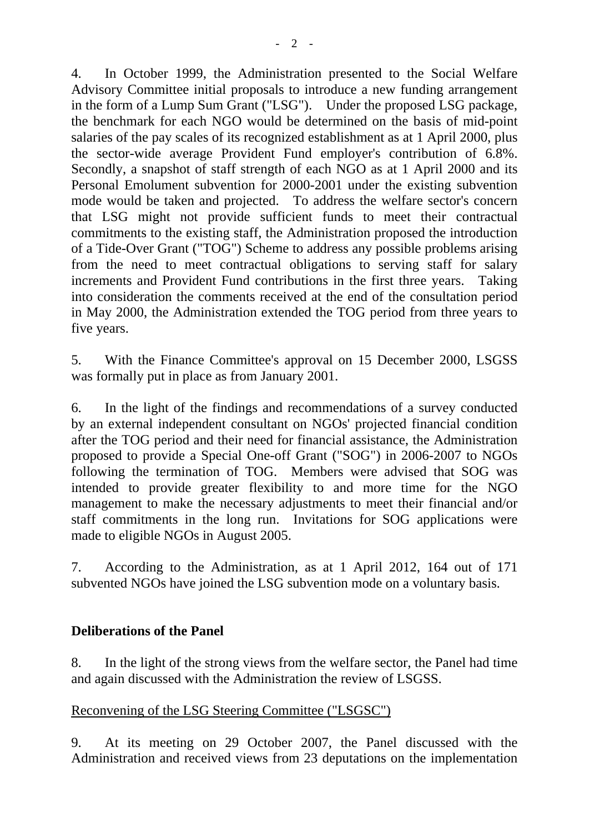4. In October 1999, the Administration presented to the Social Welfare Advisory Committee initial proposals to introduce a new funding arrangement in the form of a Lump Sum Grant ("LSG"). Under the proposed LSG package, the benchmark for each NGO would be determined on the basis of mid-point salaries of the pay scales of its recognized establishment as at 1 April 2000, plus the sector-wide average Provident Fund employer's contribution of 6.8%. Secondly, a snapshot of staff strength of each NGO as at 1 April 2000 and its Personal Emolument subvention for 2000-2001 under the existing subvention mode would be taken and projected. To address the welfare sector's concern that LSG might not provide sufficient funds to meet their contractual commitments to the existing staff, the Administration proposed the introduction of a Tide-Over Grant ("TOG") Scheme to address any possible problems arising from the need to meet contractual obligations to serving staff for salary increments and Provident Fund contributions in the first three years. Taking into consideration the comments received at the end of the consultation period in May 2000, the Administration extended the TOG period from three years to five years.

5. With the Finance Committee's approval on 15 December 2000, LSGSS was formally put in place as from January 2001.

6. In the light of the findings and recommendations of a survey conducted by an external independent consultant on NGOs' projected financial condition after the TOG period and their need for financial assistance, the Administration proposed to provide a Special One-off Grant ("SOG") in 2006-2007 to NGOs following the termination of TOG. Members were advised that SOG was intended to provide greater flexibility to and more time for the NGO management to make the necessary adjustments to meet their financial and/or staff commitments in the long run. Invitations for SOG applications were made to eligible NGOs in August 2005.

7. According to the Administration, as at 1 April 2012, 164 out of 171 subvented NGOs have joined the LSG subvention mode on a voluntary basis.

# **Deliberations of the Panel**

8. In the light of the strong views from the welfare sector, the Panel had time and again discussed with the Administration the review of LSGSS.

#### Reconvening of the LSG Steering Committee ("LSGSC")

9. At its meeting on 29 October 2007, the Panel discussed with the Administration and received views from 23 deputations on the implementation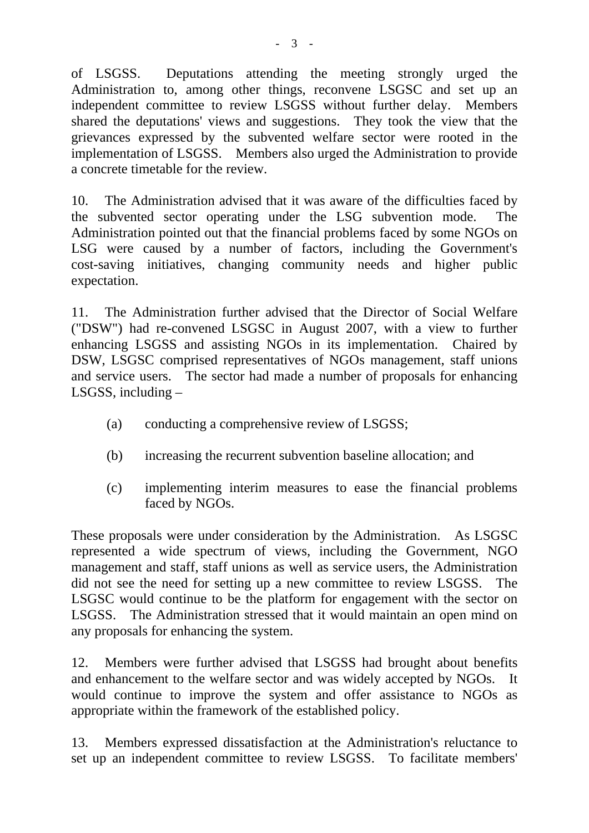of LSGSS. Deputations attending the meeting strongly urged the Administration to, among other things, reconvene LSGSC and set up an independent committee to review LSGSS without further delay. Members shared the deputations' views and suggestions. They took the view that the grievances expressed by the subvented welfare sector were rooted in the implementation of LSGSS. Members also urged the Administration to provide a concrete timetable for the review.

10. The Administration advised that it was aware of the difficulties faced by the subvented sector operating under the LSG subvention mode. The Administration pointed out that the financial problems faced by some NGOs on LSG were caused by a number of factors, including the Government's cost-saving initiatives, changing community needs and higher public expectation.

11. The Administration further advised that the Director of Social Welfare ("DSW") had re-convened LSGSC in August 2007, with a view to further enhancing LSGSS and assisting NGOs in its implementation. Chaired by DSW, LSGSC comprised representatives of NGOs management, staff unions and service users. The sector had made a number of proposals for enhancing LSGSS, including  $-$ 

- (a) conducting a comprehensive review of LSGSS;
- (b) increasing the recurrent subvention baseline allocation; and
- (c) implementing interim measures to ease the financial problems faced by NGOs.

These proposals were under consideration by the Administration. As LSGSC represented a wide spectrum of views, including the Government, NGO management and staff, staff unions as well as service users, the Administration did not see the need for setting up a new committee to review LSGSS. The LSGSC would continue to be the platform for engagement with the sector on LSGSS. The Administration stressed that it would maintain an open mind on any proposals for enhancing the system.

12. Members were further advised that LSGSS had brought about benefits and enhancement to the welfare sector and was widely accepted by NGOs. It would continue to improve the system and offer assistance to NGOs as appropriate within the framework of the established policy.

13. Members expressed dissatisfaction at the Administration's reluctance to set up an independent committee to review LSGSS. To facilitate members'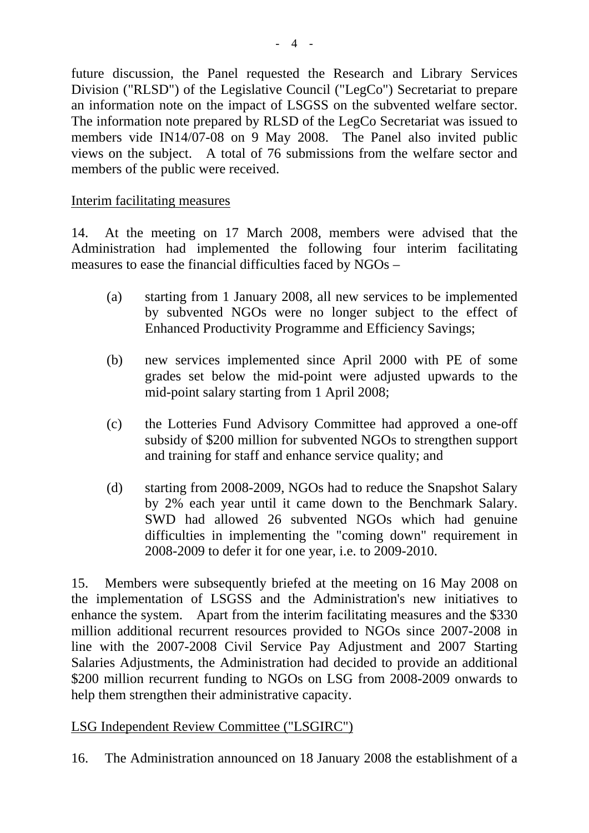future discussion, the Panel requested the Research and Library Services Division ("RLSD") of the Legislative Council ("LegCo") Secretariat to prepare an information note on the impact of LSGSS on the subvented welfare sector. The information note prepared by RLSD of the LegCo Secretariat was issued to members vide IN14/07-08 on 9 May 2008. The Panel also invited public views on the subject. A total of 76 submissions from the welfare sector and members of the public were received.

#### Interim facilitating measures

14. At the meeting on 17 March 2008, members were advised that the Administration had implemented the following four interim facilitating measures to ease the financial difficulties faced by NGOs –

- (a) starting from 1 January 2008, all new services to be implemented by subvented NGOs were no longer subject to the effect of Enhanced Productivity Programme and Efficiency Savings;
- (b) new services implemented since April 2000 with PE of some grades set below the mid-point were adjusted upwards to the mid-point salary starting from 1 April 2008;
- (c) the Lotteries Fund Advisory Committee had approved a one-off subsidy of \$200 million for subvented NGOs to strengthen support and training for staff and enhance service quality; and
- (d) starting from 2008-2009, NGOs had to reduce the Snapshot Salary by 2% each year until it came down to the Benchmark Salary. SWD had allowed 26 subvented NGOs which had genuine difficulties in implementing the "coming down" requirement in 2008-2009 to defer it for one year, i.e. to 2009-2010.

15. Members were subsequently briefed at the meeting on 16 May 2008 on the implementation of LSGSS and the Administration's new initiatives to enhance the system. Apart from the interim facilitating measures and the \$330 million additional recurrent resources provided to NGOs since 2007-2008 in line with the 2007-2008 Civil Service Pay Adjustment and 2007 Starting Salaries Adjustments, the Administration had decided to provide an additional \$200 million recurrent funding to NGOs on LSG from 2008-2009 onwards to help them strengthen their administrative capacity.

# LSG Independent Review Committee ("LSGIRC")

16. The Administration announced on 18 January 2008 the establishment of a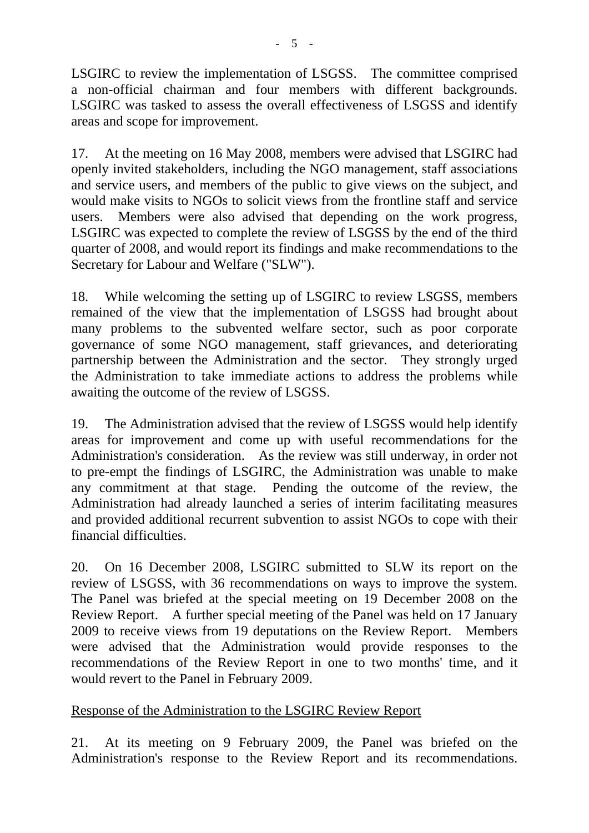LSGIRC to review the implementation of LSGSS. The committee comprised a non-official chairman and four members with different backgrounds. LSGIRC was tasked to assess the overall effectiveness of LSGSS and identify areas and scope for improvement.

17. At the meeting on 16 May 2008, members were advised that LSGIRC had openly invited stakeholders, including the NGO management, staff associations and service users, and members of the public to give views on the subject, and would make visits to NGOs to solicit views from the frontline staff and service users. Members were also advised that depending on the work progress, LSGIRC was expected to complete the review of LSGSS by the end of the third quarter of 2008, and would report its findings and make recommendations to the Secretary for Labour and Welfare ("SLW").

18. While welcoming the setting up of LSGIRC to review LSGSS, members remained of the view that the implementation of LSGSS had brought about many problems to the subvented welfare sector, such as poor corporate governance of some NGO management, staff grievances, and deteriorating partnership between the Administration and the sector. They strongly urged the Administration to take immediate actions to address the problems while awaiting the outcome of the review of LSGSS.

19. The Administration advised that the review of LSGSS would help identify areas for improvement and come up with useful recommendations for the Administration's consideration. As the review was still underway, in order not to pre-empt the findings of LSGIRC, the Administration was unable to make any commitment at that stage. Pending the outcome of the review, the Administration had already launched a series of interim facilitating measures and provided additional recurrent subvention to assist NGOs to cope with their financial difficulties.

20. On 16 December 2008, LSGIRC submitted to SLW its report on the review of LSGSS, with 36 recommendations on ways to improve the system. The Panel was briefed at the special meeting on 19 December 2008 on the Review Report. A further special meeting of the Panel was held on 17 January 2009 to receive views from 19 deputations on the Review Report. Members were advised that the Administration would provide responses to the recommendations of the Review Report in one to two months' time, and it would revert to the Panel in February 2009.

# Response of the Administration to the LSGIRC Review Report

21. At its meeting on 9 February 2009, the Panel was briefed on the Administration's response to the Review Report and its recommendations.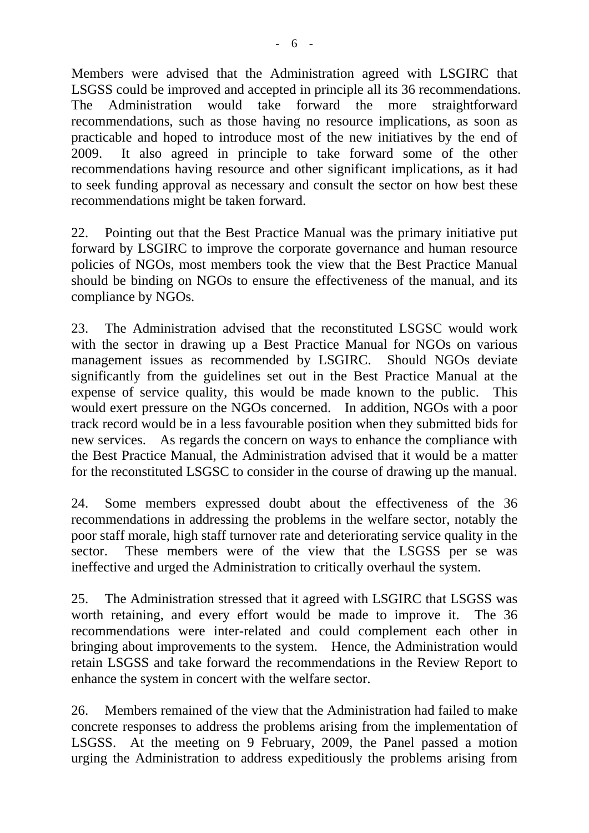Members were advised that the Administration agreed with LSGIRC that LSGSS could be improved and accepted in principle all its 36 recommendations. The Administration would take forward the more straightforward recommendations, such as those having no resource implications, as soon as practicable and hoped to introduce most of the new initiatives by the end of 2009. It also agreed in principle to take forward some of the other recommendations having resource and other significant implications, as it had to seek funding approval as necessary and consult the sector on how best these recommendations might be taken forward.

22. Pointing out that the Best Practice Manual was the primary initiative put forward by LSGIRC to improve the corporate governance and human resource policies of NGOs, most members took the view that the Best Practice Manual should be binding on NGOs to ensure the effectiveness of the manual, and its compliance by NGOs.

23. The Administration advised that the reconstituted LSGSC would work with the sector in drawing up a Best Practice Manual for NGOs on various management issues as recommended by LSGIRC. Should NGOs deviate significantly from the guidelines set out in the Best Practice Manual at the expense of service quality, this would be made known to the public. This would exert pressure on the NGOs concerned. In addition, NGOs with a poor track record would be in a less favourable position when they submitted bids for new services. As regards the concern on ways to enhance the compliance with the Best Practice Manual, the Administration advised that it would be a matter for the reconstituted LSGSC to consider in the course of drawing up the manual.

24. Some members expressed doubt about the effectiveness of the 36 recommendations in addressing the problems in the welfare sector, notably the poor staff morale, high staff turnover rate and deteriorating service quality in the sector. These members were of the view that the LSGSS per se was ineffective and urged the Administration to critically overhaul the system.

25. The Administration stressed that it agreed with LSGIRC that LSGSS was worth retaining, and every effort would be made to improve it. The 36 recommendations were inter-related and could complement each other in bringing about improvements to the system. Hence, the Administration would retain LSGSS and take forward the recommendations in the Review Report to enhance the system in concert with the welfare sector.

26. Members remained of the view that the Administration had failed to make concrete responses to address the problems arising from the implementation of LSGSS. At the meeting on 9 February, 2009, the Panel passed a motion urging the Administration to address expeditiously the problems arising from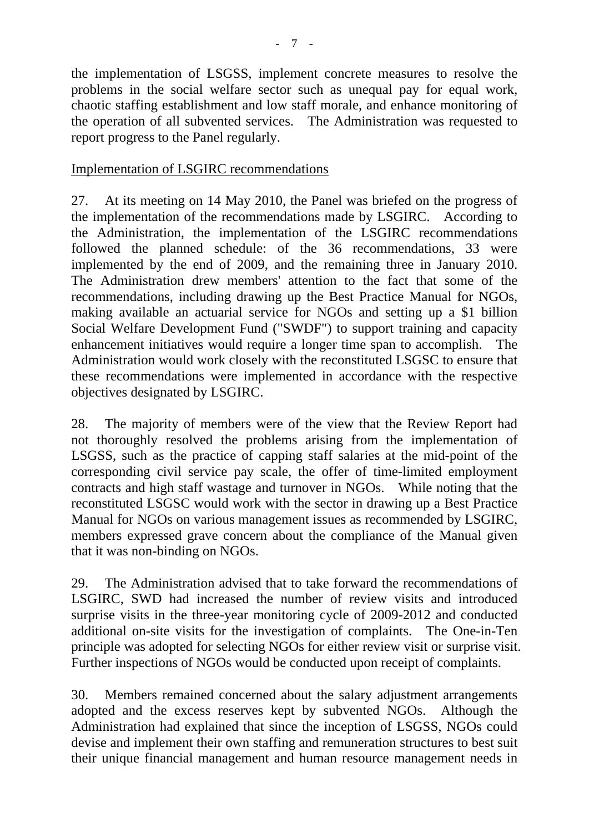the implementation of LSGSS, implement concrete measures to resolve the problems in the social welfare sector such as unequal pay for equal work, chaotic staffing establishment and low staff morale, and enhance monitoring of the operation of all subvented services. The Administration was requested to report progress to the Panel regularly.

#### Implementation of LSGIRC recommendations

27. At its meeting on 14 May 2010, the Panel was briefed on the progress of the implementation of the recommendations made by LSGIRC. According to the Administration, the implementation of the LSGIRC recommendations followed the planned schedule: of the 36 recommendations, 33 were implemented by the end of 2009, and the remaining three in January 2010. The Administration drew members' attention to the fact that some of the recommendations, including drawing up the Best Practice Manual for NGOs, making available an actuarial service for NGOs and setting up a \$1 billion Social Welfare Development Fund ("SWDF") to support training and capacity enhancement initiatives would require a longer time span to accomplish. The Administration would work closely with the reconstituted LSGSC to ensure that these recommendations were implemented in accordance with the respective objectives designated by LSGIRC.

28. The majority of members were of the view that the Review Report had not thoroughly resolved the problems arising from the implementation of LSGSS, such as the practice of capping staff salaries at the mid-point of the corresponding civil service pay scale, the offer of time-limited employment contracts and high staff wastage and turnover in NGOs. While noting that the reconstituted LSGSC would work with the sector in drawing up a Best Practice Manual for NGOs on various management issues as recommended by LSGIRC, members expressed grave concern about the compliance of the Manual given that it was non-binding on NGOs.

29. The Administration advised that to take forward the recommendations of LSGIRC, SWD had increased the number of review visits and introduced surprise visits in the three-year monitoring cycle of 2009-2012 and conducted additional on-site visits for the investigation of complaints. The One-in-Ten principle was adopted for selecting NGOs for either review visit or surprise visit. Further inspections of NGOs would be conducted upon receipt of complaints.

30. Members remained concerned about the salary adjustment arrangements adopted and the excess reserves kept by subvented NGOs. Although the Administration had explained that since the inception of LSGSS, NGOs could devise and implement their own staffing and remuneration structures to best suit their unique financial management and human resource management needs in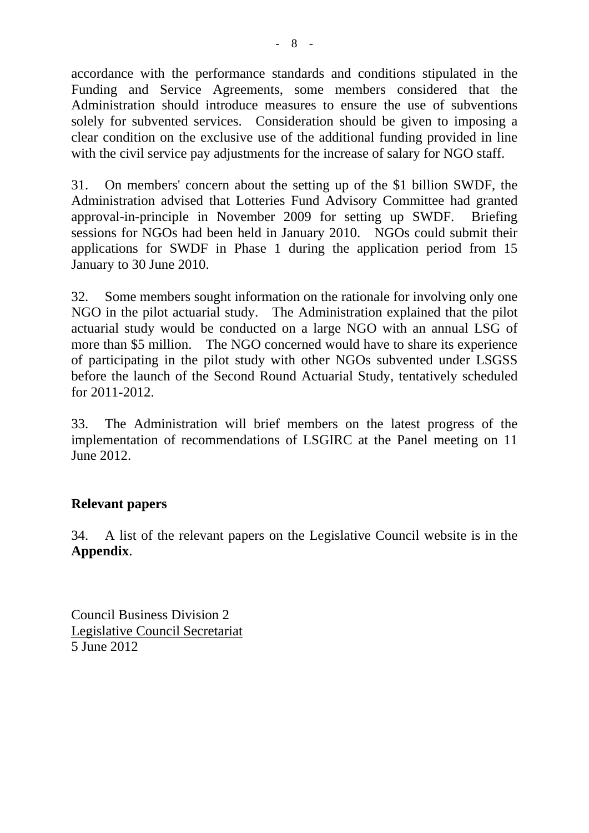accordance with the performance standards and conditions stipulated in the Funding and Service Agreements, some members considered that the Administration should introduce measures to ensure the use of subventions solely for subvented services. Consideration should be given to imposing a clear condition on the exclusive use of the additional funding provided in line with the civil service pay adjustments for the increase of salary for NGO staff.

31. On members' concern about the setting up of the \$1 billion SWDF, the Administration advised that Lotteries Fund Advisory Committee had granted approval-in-principle in November 2009 for setting up SWDF. Briefing sessions for NGOs had been held in January 2010. NGOs could submit their applications for SWDF in Phase 1 during the application period from 15 January to 30 June 2010.

32. Some members sought information on the rationale for involving only one NGO in the pilot actuarial study. The Administration explained that the pilot actuarial study would be conducted on a large NGO with an annual LSG of more than \$5 million. The NGO concerned would have to share its experience of participating in the pilot study with other NGOs subvented under LSGSS before the launch of the Second Round Actuarial Study, tentatively scheduled for 2011-2012.

33. The Administration will brief members on the latest progress of the implementation of recommendations of LSGIRC at the Panel meeting on 11 June 2012.

#### **Relevant papers**

34. A list of the relevant papers on the Legislative Council website is in the **Appendix**.

Council Business Division 2 Legislative Council Secretariat 5 June 2012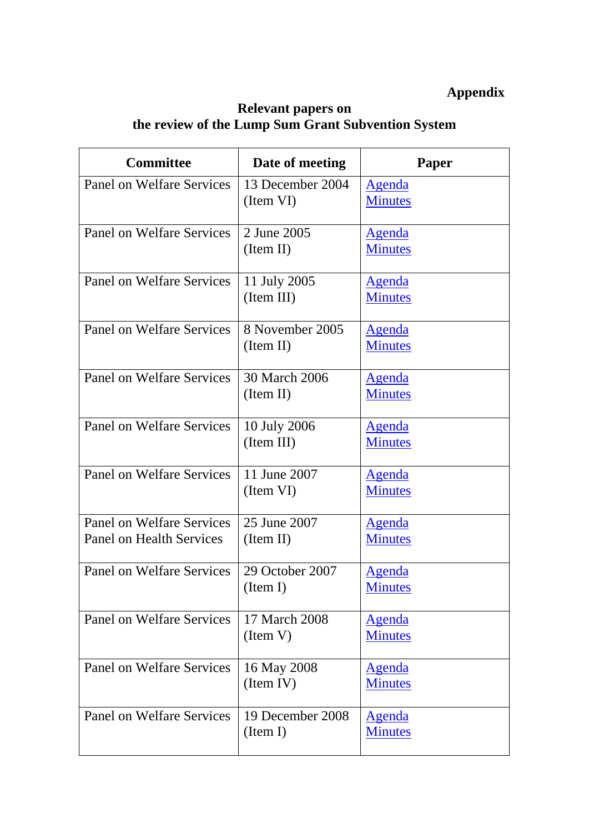# **Appendix**

#### **Relevant papers on the review of the Lump Sum Grant Subvention System**

| <b>Committee</b>                                                    | Date of meeting               | Paper                           |
|---------------------------------------------------------------------|-------------------------------|---------------------------------|
| Panel on Welfare Services                                           | 13 December 2004<br>(Item VI) | <b>Agenda</b><br><b>Minutes</b> |
| Panel on Welfare Services                                           | 2 June 2005<br>(Item II)      | <u>Agenda</u><br><b>Minutes</b> |
| Panel on Welfare Services                                           | 11 July 2005<br>(Item III)    | <u>Agenda</u><br><b>Minutes</b> |
| <b>Panel on Welfare Services</b>                                    | 8 November 2005<br>(Item II)  | <u>Agenda</u><br><b>Minutes</b> |
| Panel on Welfare Services                                           | 30 March 2006<br>(Item II)    | <u>Agenda</u><br><b>Minutes</b> |
| Panel on Welfare Services                                           | 10 July 2006<br>(Item III)    | <u>Agenda</u><br><b>Minutes</b> |
| <b>Panel on Welfare Services</b>                                    | 11 June 2007<br>(Item VI)     | <u>Agenda</u><br><b>Minutes</b> |
| <b>Panel on Welfare Services</b><br><b>Panel on Health Services</b> | 25 June 2007<br>(Item II)     | <u>Agenda</u><br><b>Minutes</b> |
| <b>Panel on Welfare Services</b>                                    | 29 October 2007<br>(Item I)   | <u>Agenda</u><br><b>Minutes</b> |
| <b>Panel on Welfare Services</b>                                    | 17 March 2008<br>(Item V)     | <u>Agenda</u><br><b>Minutes</b> |
| <b>Panel on Welfare Services</b>                                    | 16 May 2008<br>(Item IV)      | <u>Agenda</u><br><b>Minutes</b> |
| <b>Panel on Welfare Services</b>                                    | 19 December 2008<br>(Item I)  | <u>Agenda</u><br><b>Minutes</b> |